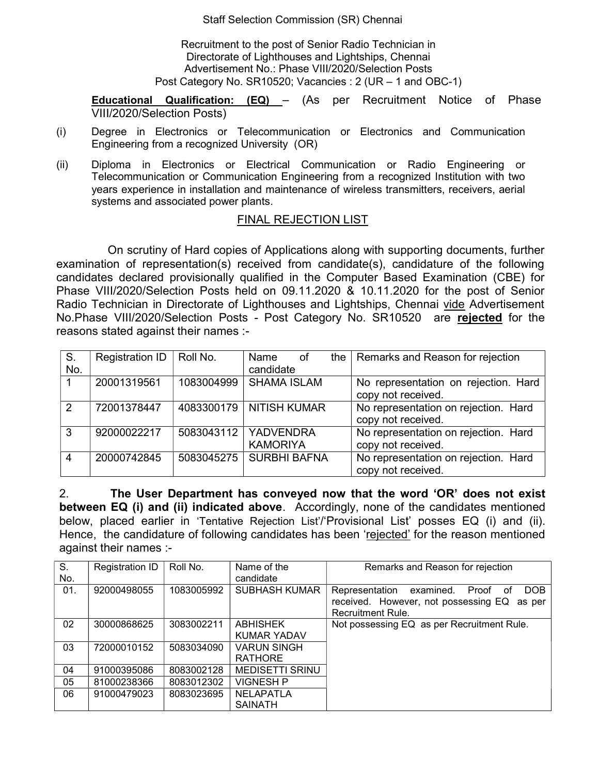Staff Selection Commission (SR) Chennai

Recruitment to the post of Senior Radio Technician in Directorate of Lighthouses and Lightships, Chennai Advertisement No.: Phase VIII/2020/Selection Posts Post Category No. SR10520; Vacancies : 2 (UR – 1 and OBC-1)

**Educational Qualification: (EQ)**  $-$  (As per Recruitment Notice of Phase VIII/2020/Selection Posts)

- (i) Degree in Electronics or Telecommunication or Electronics and Communication Engineering from a recognized University (OR)
- (ii) Diploma in Electronics or Electrical Communication or Radio Engineering or Telecommunication or Communication Engineering from a recognized Institution with two years experience in installation and maintenance of wireless transmitters, receivers, aerial systems and associated power plants.

## FINAL REJECTION LIST

On scrutiny of Hard copies of Applications along with supporting documents, further examination of representation(s) received from candidate(s), candidature of the following candidates declared provisionally qualified in the Computer Based Examination (CBE) for Phase VIII/2020/Selection Posts held on 09.11.2020 & 10.11.2020 for the post of Senior Radio Technician in Directorate of Lighthouses and Lightships, Chennai vide Advertisement No.Phase VIII/2020/Selection Posts - Post Category No. SR10520 are rejected for the reasons stated against their names :-

| S.            | <b>Registration ID</b> | Roll No.   | Name<br>of             | the $\vert$ Remarks and Reason for rejection |
|---------------|------------------------|------------|------------------------|----------------------------------------------|
| No.           |                        |            | candidate              |                                              |
|               | 20001319561            | 1083004999 | <b>SHAMA ISLAM</b>     | No representation on rejection. Hard         |
|               |                        |            |                        | copy not received.                           |
| $\mathcal{P}$ | 72001378447            | 4083300179 | <b>NITISH KUMAR</b>    | No representation on rejection. Hard         |
|               |                        |            |                        | copy not received.                           |
| 3             | 92000022217            |            | 5083043112   YADVENDRA | No representation on rejection. Hard         |
|               |                        |            | <b>KAMORIYA</b>        | copy not received.                           |
| 4             | 20000742845            | 5083045275 | <b>SURBHI BAFNA</b>    | No representation on rejection. Hard         |
|               |                        |            |                        | copy not received.                           |

2. The User Department has conveyed now that the word 'OR' does not exist between EQ (i) and (ii) indicated above. Accordingly, none of the candidates mentioned below, placed earlier in 'Tentative Rejection List'/'Provisional List' posses EQ (i) and (ii). Hence, the candidature of following candidates has been 'rejected' for the reason mentioned against their names :-

| S.  | <b>Registration ID</b> | Roll No.   | Name of the                          | Remarks and Reason for rejection                                                                                          |  |
|-----|------------------------|------------|--------------------------------------|---------------------------------------------------------------------------------------------------------------------------|--|
| No. |                        |            | candidate                            |                                                                                                                           |  |
| 01. | 92000498055            | 1083005992 | <b>SUBHASH KUMAR</b>                 | <b>DOB</b><br>Proof of<br>Representation<br>examined.<br>received. However, not possessing EQ as per<br>Recruitment Rule. |  |
| 02  | 30000868625            | 3083002211 | <b>ABHISHEK</b><br>KUMAR YADAV       | Not possessing EQ as per Recruitment Rule.                                                                                |  |
| 03  | 72000010152            | 5083034090 | <b>VARUN SINGH</b><br><b>RATHORE</b> |                                                                                                                           |  |
| 04  | 91000395086            | 8083002128 | <b>MEDISETTI SRINU</b>               |                                                                                                                           |  |
| 05  | 81000238366            | 8083012302 | <b>VIGNESH P</b>                     |                                                                                                                           |  |
| 06  | 91000479023            | 8083023695 | <b>NELAPATLA</b>                     |                                                                                                                           |  |
|     |                        |            | <b>SAINATH</b>                       |                                                                                                                           |  |